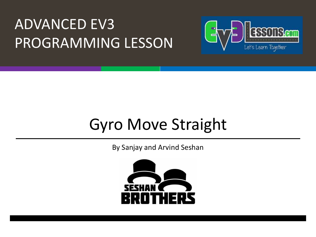#### ADVANCED EV3 PROGRAMMING LESSON



### Gyro Move Straight

By Sanjay and Arvind Seshan

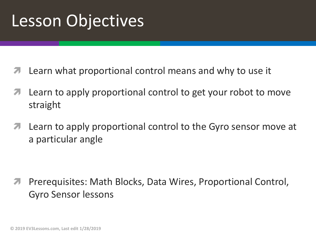### Lesson Objectives

- Learn what proportional control means and why to use it
- Learn to apply proportional control to get your robot to move straight
- **7** Learn to apply proportional control to the Gyro sensor move at a particular angle

*A* Prerequisites: Math Blocks, Data Wires, Proportional Control, Gyro Sensor lessons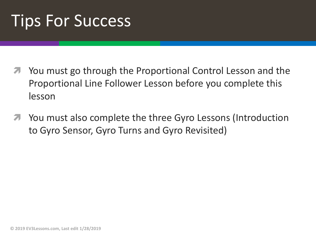### Tips For Success

- ì You must go through the Proportional Control Lesson and the Proportional Line Follower Lesson before you complete this lesson
- **7** You must also complete the three Gyro Lessons (Introduction to Gyro Sensor, Gyro Turns and Gyro Revisited)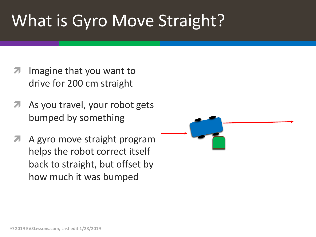## What is Gyro Move Straight?

- Imagine that you want to drive for 200 cm straight
- As you travel, your robot gets bumped by something
- A gyro move straight program helps the robot correct itself back to straight, but offset by how much it was bumped

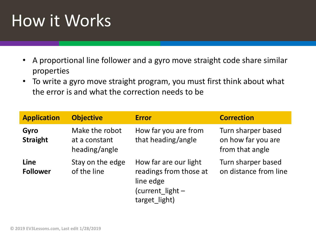# How it Works

- A proportional line follower and a gyro move straight code share similar properties
- To write a gyro move straight program, you must first think about what the error is and what the correction needs to be

| <b>Application</b>      | <b>Objective</b>                                 | <b>Error</b>                                                                                      | <b>Correction</b>                                           |
|-------------------------|--------------------------------------------------|---------------------------------------------------------------------------------------------------|-------------------------------------------------------------|
| Gyro<br><b>Straight</b> | Make the robot<br>at a constant<br>heading/angle | How far you are from<br>that heading/angle                                                        | Turn sharper based<br>on how far you are<br>from that angle |
| Line<br><b>Follower</b> | Stay on the edge<br>of the line                  | How far are our light<br>readings from those at<br>line edge<br>(current light -<br>target light) | Turn sharper based<br>on distance from line                 |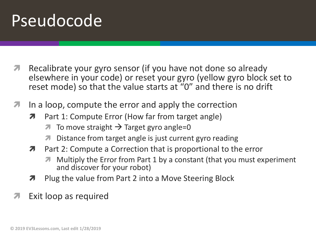### Pseudocode

- **7** Recalibrate your gyro sensor (if you have not done so already elsewhere in your code) or reset your gyro (yellow gyro block set to reset mode) so that the value starts at "0" and there is no drift
- $\lambda$  In a loop, compute the error and apply the correction
	- **7** Part 1: Compute Error (How far from target angle)
		- To move straight  $\rightarrow$  Target gyro angle=0
		- *i* Distance from target angle is just current gyro reading
	- $\lambda$  Part 2: Compute a Correction that is proportional to the error
		- ì Multiply the Error from Part 1 by a constant (that you must experiment and discover for your robot)
	- $\lambda$  Plug the value from Part 2 into a Move Steering Block
- Exit loop as required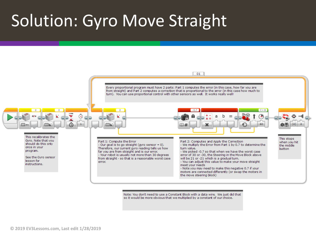#### Solution: Gyro Move Straight



Note: You don't need to use a Constant Block with a data wire. We just did that so it would be more obvious that we multiplied by a constant of our choice.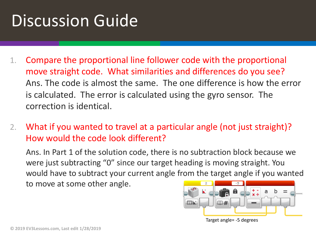## Discussion Guide

- 1. Compare the proportional line follower code with the proportional move straight code. What similarities and differences do you see? Ans. The code is almost the same. The one difference is how the error is calculated. The error is calculated using the gyro sensor. The correction is identical.
- 2. What if you wanted to travel at a particular angle (not just straight)? How would the code look different?

Ans. In Part 1 of the solution code, there is no subtraction block because we were just subtracting "0" since our target heading is moving straight. You would have to subtract your current angle from the target angle if you wanted to move at some other angle.



Target angle= -5 degrees